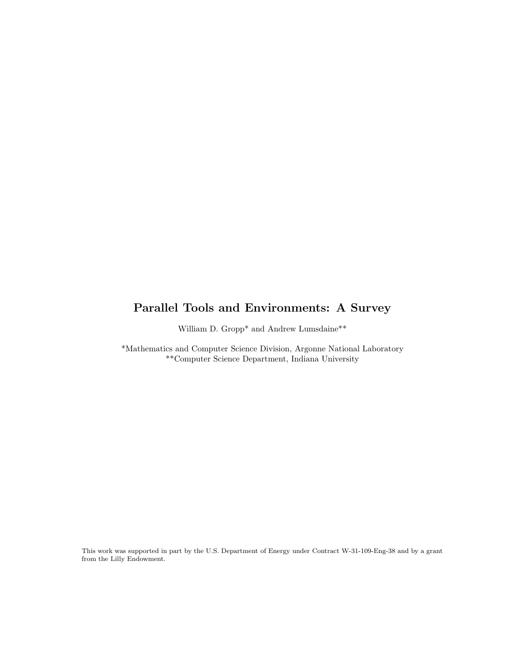## Parallel Tools and Environments: A Survey

William D. Gropp<sup>\*</sup> and Andrew Lumsdaine<sup>\*\*</sup>

\*Mathematics and Computer Science Division, Argonne National Laboratory \*\*Computer Science Department, Indiana University

This work was supported in part by the U.S. Department of Energy under Contract W-31-109-Eng-38 and by a grant from the Lilly Endowment.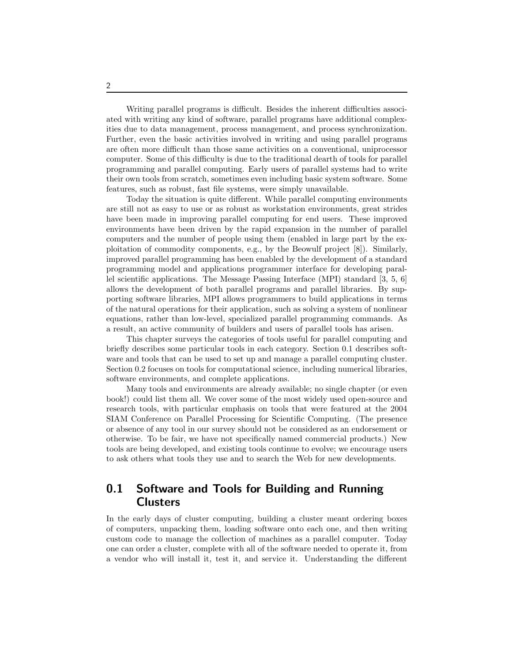Writing parallel programs is difficult. Besides the inherent difficulties associated with writing any kind of software, parallel programs have additional complexities due to data management, process management, and process synchronization. Further, even the basic activities involved in writing and using parallel programs are often more difficult than those same activities on a conventional, uniprocessor computer. Some of this difficulty is due to the traditional dearth of tools for parallel programming and parallel computing. Early users of parallel systems had to write their own tools from scratch, sometimes even including basic system software. Some features, such as robust, fast file systems, were simply unavailable.

Today the situation is quite different. While parallel computing environments are still not as easy to use or as robust as workstation environments, great strides have been made in improving parallel computing for end users. These improved environments have been driven by the rapid expansion in the number of parallel computers and the number of people using them (enabled in large part by the exploitation of commodity components, e.g., by the Beowulf project [8]). Similarly, improved parallel programming has been enabled by the development of a standard programming model and applications programmer interface for developing parallel scientific applications. The Message Passing Interface (MPI) standard [3, 5, 6] allows the development of both parallel programs and parallel libraries. By supporting software libraries, MPI allows programmers to build applications in terms of the natural operations for their application, such as solving a system of nonlinear equations, rather than low-level, specialized parallel programming commands. As a result, an active community of builders and users of parallel tools has arisen.

This chapter surveys the categories of tools useful for parallel computing and briefly describes some particular tools in each category. Section 0.1 describes software and tools that can be used to set up and manage a parallel computing cluster. Section 0.2 focuses on tools for computational science, including numerical libraries, software environments, and complete applications.

Many tools and environments are already available; no single chapter (or even book!) could list them all. We cover some of the most widely used open-source and research tools, with particular emphasis on tools that were featured at the 2004 SIAM Conference on Parallel Processing for Scientific Computing. (The presence or absence of any tool in our survey should not be considered as an endorsement or otherwise. To be fair, we have not specifically named commercial products.) New tools are being developed, and existing tools continue to evolve; we encourage users to ask others what tools they use and to search the Web for new developments.

### 0.1 Software and Tools for Building and Running **Clusters**

In the early days of cluster computing, building a cluster meant ordering boxes of computers, unpacking them, loading software onto each one, and then writing custom code to manage the collection of machines as a parallel computer. Today one can order a cluster, complete with all of the software needed to operate it, from a vendor who will install it, test it, and service it. Understanding the different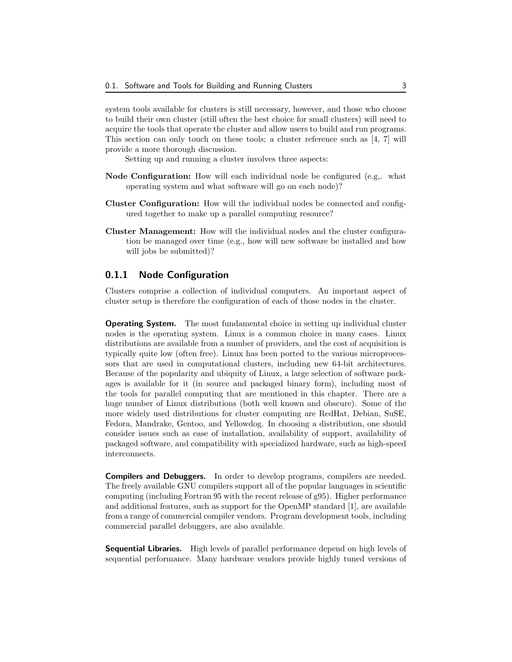system tools available for clusters is still necessary, however, and those who choose to build their own cluster (still often the best choice for small clusters) will need to acquire the tools that operate the cluster and allow users to build and run programs. This section can only touch on these tools; a cluster reference such as [4, 7] will provide a more thorough discussion.

Setting up and running a cluster involves three aspects:

- Node Configuration: How will each individual node be configured (e.g,. what operating system and what software will go on each node)?
- Cluster Configuration: How will the individual nodes be connected and configured together to make up a parallel computing resource?
- Cluster Management: How will the individual nodes and the cluster configuration be managed over time (e.g., how will new software be installed and how will jobs be submitted)?

#### 0.1.1 Node Configuration

Clusters comprise a collection of individual computers. An important aspect of cluster setup is therefore the configuration of each of those nodes in the cluster.

**Operating System.** The most fundamental choice in setting up individual cluster nodes is the operating system. Linux is a common choice in many cases. Linux distributions are available from a number of providers, and the cost of acquisition is typically quite low (often free). Linux has been ported to the various microprocessors that are used in computational clusters, including new 64-bit architectures. Because of the popularity and ubiquity of Linux, a large selection of software packages is available for it (in source and packaged binary form), including most of the tools for parallel computing that are mentioned in this chapter. There are a huge number of Linux distributions (both well known and obscure). Some of the more widely used distributions for cluster computing are RedHat, Debian, SuSE, Fedora, Mandrake, Gentoo, and Yellowdog. In choosing a distribution, one should consider issues such as ease of installation, availability of support, availability of packaged software, and compatibility with specialized hardware, such as high-speed interconnects.

**Compilers and Debuggers.** In order to develop programs, compilers are needed. The freely available GNU compilers support all of the popular languages in scientific computing (including Fortran 95 with the recent release of g95). Higher performance and additional features, such as support for the OpenMP standard [1], are available from a range of commercial compiler vendors. Program development tools, including commercial parallel debuggers, are also available.

**Sequential Libraries.** High levels of parallel performance depend on high levels of sequential performance. Many hardware vendors provide highly tuned versions of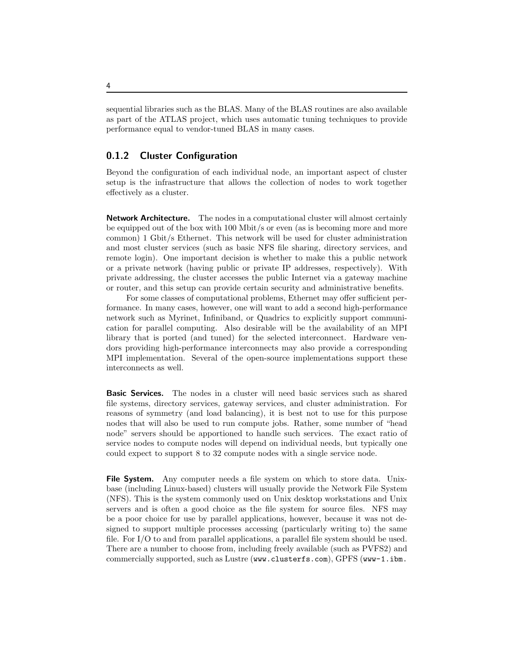sequential libraries such as the BLAS. Many of the BLAS routines are also available as part of the ATLAS project, which uses automatic tuning techniques to provide performance equal to vendor-tuned BLAS in many cases.

#### 0.1.2 Cluster Configuration

Beyond the configuration of each individual node, an important aspect of cluster setup is the infrastructure that allows the collection of nodes to work together effectively as a cluster.

Network Architecture. The nodes in a computational cluster will almost certainly be equipped out of the box with 100 Mbit/s or even (as is becoming more and more common) 1 Gbit/s Ethernet. This network will be used for cluster administration and most cluster services (such as basic NFS file sharing, directory services, and remote login). One important decision is whether to make this a public network or a private network (having public or private IP addresses, respectively). With private addressing, the cluster accesses the public Internet via a gateway machine or router, and this setup can provide certain security and administrative benefits.

For some classes of computational problems, Ethernet may offer sufficient performance. In many cases, however, one will want to add a second high-performance network such as Myrinet, Infiniband, or Quadrics to explicitly support communication for parallel computing. Also desirable will be the availability of an MPI library that is ported (and tuned) for the selected interconnect. Hardware vendors providing high-performance interconnects may also provide a corresponding MPI implementation. Several of the open-source implementations support these interconnects as well.

Basic Services. The nodes in a cluster will need basic services such as shared file systems, directory services, gateway services, and cluster administration. For reasons of symmetry (and load balancing), it is best not to use for this purpose nodes that will also be used to run compute jobs. Rather, some number of "head node" servers should be apportioned to handle such services. The exact ratio of service nodes to compute nodes will depend on individual needs, but typically one could expect to support 8 to 32 compute nodes with a single service node.

File System. Any computer needs a file system on which to store data. Unixbase (including Linux-based) clusters will usually provide the Network File System (NFS). This is the system commonly used on Unix desktop workstations and Unix servers and is often a good choice as the file system for source files. NFS may be a poor choice for use by parallel applications, however, because it was not designed to support multiple processes accessing (particularly writing to) the same file. For I/O to and from parallel applications, a parallel file system should be used. There are a number to choose from, including freely available (such as PVFS2) and commercially supported, such as Lustre ([www.clusterfs.com](http://www.clusterfs.com)), GPFS ([www-1.ibm.](http://www-1.ibm.com/servers/eserver/clusters/software/gpfs.html)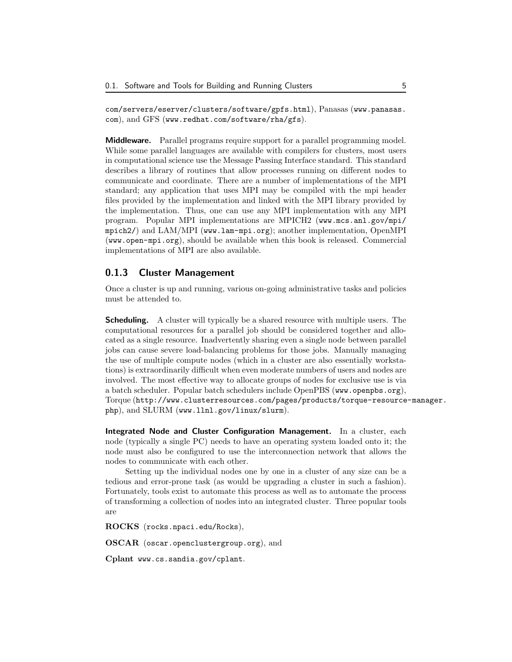[com/servers/eserver/clusters/software/gpfs.html](http://www-1.ibm.com/servers/eserver/clusters/software/gpfs.html)), Panasas ([www.panasas.](http://www.panasas.com) [com](http://www.panasas.com)), and GFS ([www.redhat.com/software/rha/gfs](http://www.redhat.com/software/rha/gfs)).

**Middleware.** Parallel programs require support for a parallel programming model. While some parallel languages are available with compilers for clusters, most users in computational science use the Message Passing Interface standard. This standard describes a library of routines that allow processes running on different nodes to communicate and coordinate. There are a number of implementations of the MPI standard; any application that uses MPI may be compiled with the mpi header files provided by the implementation and linked with the MPI library provided by the implementation. Thus, one can use any MPI implementation with any MPI program. Popular MPI implementations are MPICH2 ([www.mcs.anl.gov/mpi/](http://www.mcs.anl.gov/mpi/mpich2/) [mpich2/](http://www.mcs.anl.gov/mpi/mpich2/)) and LAM/MPI ([www.lam-mpi.org](http://www.lam-mpi.org)); another implementation, OpenMPI ([www.open-mpi.org](http://www.open-mpi.org)), should be available when this book is released. Commercial implementations of MPI are also available.

#### 0.1.3 Cluster Management

Once a cluster is up and running, various on-going administrative tasks and policies must be attended to.

**Scheduling.** A cluster will typically be a shared resource with multiple users. The computational resources for a parallel job should be considered together and allocated as a single resource. Inadvertently sharing even a single node between parallel jobs can cause severe load-balancing problems for those jobs. Manually managing the use of multiple compute nodes (which in a cluster are also essentially workstations) is extraordinarily difficult when even moderate numbers of users and nodes are involved. The most effective way to allocate groups of nodes for exclusive use is via a batch scheduler. Popular batch schedulers include OpenPBS ([www.openpbs.org](http://www.openpbs.org)), Torque ([http://www.clusterresources.com/pages/products/torque-resource-manager.](http://www.clusterresources.com/pages/products/torque-resource-manager.php) [php](http://www.clusterresources.com/pages/products/torque-resource-manager.php)), and SLURM ([www.llnl.gov/linux/slurm](http://www.llnl.gov/linux/slurm)).

Integrated Node and Cluster Configuration Management. In a cluster, each node (typically a single PC) needs to have an operating system loaded onto it; the node must also be configured to use the interconnection network that allows the nodes to communicate with each other.

Setting up the individual nodes one by one in a cluster of any size can be a tedious and error-prone task (as would be upgrading a cluster in such a fashion). Fortunately, tools exist to automate this process as well as to automate the process of transforming a collection of nodes into an integrated cluster. Three popular tools are

ROCKS ([rocks.npaci.edu/Rocks](http://rocks.npaci.edu/Rocks)),

OSCAR ([oscar.openclustergroup.org](http://oscar.openclustergroup.org)), and

Cplant [www.cs.sandia.gov/cplant](http://www.cs.sandia.gov/cplant).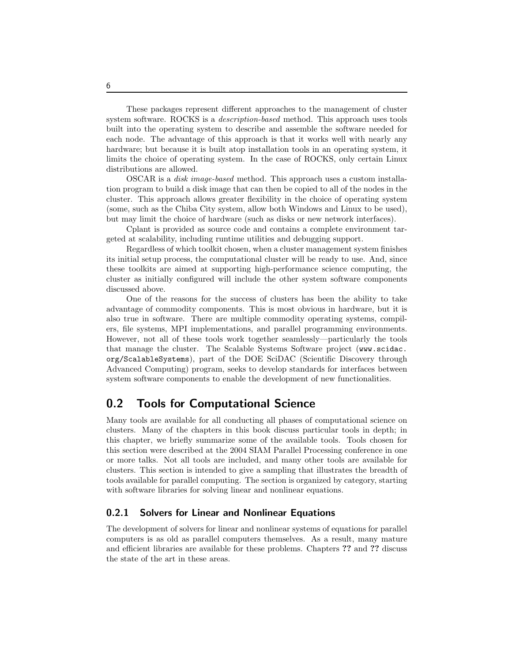These packages represent different approaches to the management of cluster system software. ROCKS is a *description-based* method. This approach uses tools built into the operating system to describe and assemble the software needed for each node. The advantage of this approach is that it works well with nearly any hardware; but because it is built atop installation tools in an operating system, it limits the choice of operating system. In the case of ROCKS, only certain Linux distributions are allowed.

OSCAR is a *disk image-based* method. This approach uses a custom installation program to build a disk image that can then be copied to all of the nodes in the cluster. This approach allows greater flexibility in the choice of operating system (some, such as the Chiba City system, allow both Windows and Linux to be used), but may limit the choice of hardware (such as disks or new network interfaces).

Cplant is provided as source code and contains a complete environment targeted at scalability, including runtime utilities and debugging support.

Regardless of which toolkit chosen, when a cluster management system finishes its initial setup process, the computational cluster will be ready to use. And, since these toolkits are aimed at supporting high-performance science computing, the cluster as initially configured will include the other system software components discussed above.

One of the reasons for the success of clusters has been the ability to take advantage of commodity components. This is most obvious in hardware, but it is also true in software. There are multiple commodity operating systems, compilers, file systems, MPI implementations, and parallel programming environments. However, not all of these tools work together seamlessly—particularly the tools that manage the cluster. The Scalable Systems Software project ([www.scidac.](http://www.scidac.org/ScalableSystems) [org/ScalableSystems](http://www.scidac.org/ScalableSystems)), part of the DOE SciDAC (Scientific Discovery through Advanced Computing) program, seeks to develop standards for interfaces between system software components to enable the development of new functionalities.

### 0.2 Tools for Computational Science

Many tools are available for all conducting all phases of computational science on clusters. Many of the chapters in this book discuss particular tools in depth; in this chapter, we briefly summarize some of the available tools. Tools chosen for this section were described at the 2004 SIAM Parallel Processing conference in one or more talks. Not all tools are included, and many other tools are available for clusters. This section is intended to give a sampling that illustrates the breadth of tools available for parallel computing. The section is organized by category, starting with software libraries for solving linear and nonlinear equations.

#### 0.2.1 Solvers for Linear and Nonlinear Equations

The development of solvers for linear and nonlinear systems of equations for parallel computers is as old as parallel computers themselves. As a result, many mature and efficient libraries are available for these problems. Chapters ?? and ?? discuss the state of the art in these areas.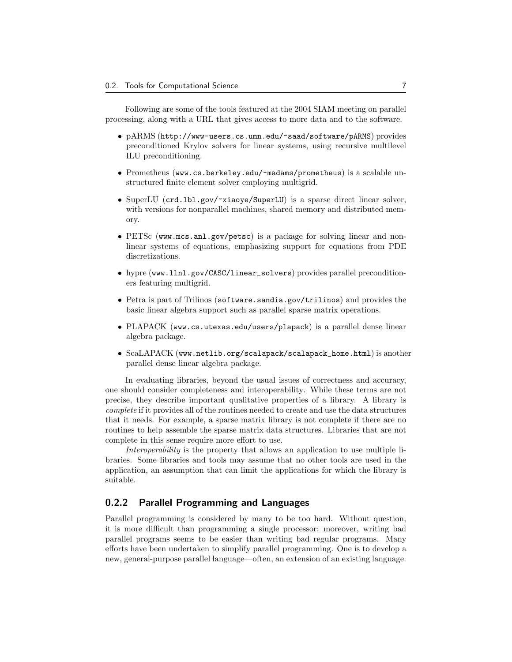Following are some of the tools featured at the 2004 SIAM meeting on parallel processing, along with a URL that gives access to more data and to the software.

- pARMS (<http://www-users.cs.umn.edu/~saad/software/pARMS>) provides preconditioned Krylov solvers for linear systems, using recursive multilevel ILU preconditioning.
- *•* Prometheus ([www.cs.berkeley.edu/~madams/prometheus](http://www.cs.berkeley.edu/~madams/prometheus)) is a scalable unstructured finite element solver employing multigrid.
- *•* SuperLU ([crd.lbl.gov/~xiaoye/SuperLU](http://crd.lbl.gov/~xiaoye/SuperLU)) is a sparse direct linear solver, with versions for nonparallel machines, shared memory and distributed memory.
- *•* PETSc ([www.mcs.anl.gov/petsc](http://www.mcs.anl.gov/petsc)) is a package for solving linear and nonlinear systems of equations, emphasizing support for equations from PDE discretizations.
- hypre ([www.llnl.gov/CASC/linear\\_solvers](http://www.llnl.gov/CASC/linear_solvers)) provides parallel preconditioners featuring multigrid.
- Petra is part of Trilinos ([software.sandia.gov/trilinos](http://software.sandia.gov/trilinos)) and provides the basic linear algebra support such as parallel sparse matrix operations.
- *•* PLAPACK ([www.cs.utexas.edu/users/plapack](http://www.cs.utexas.edu/users/plapack)) is a parallel dense linear algebra package.
- *•* ScaLAPACK ([www.netlib.org/scalapack/scalapack\\_home.html](http://www.netlib.org/scalapack/scalapack_home.html)) is another parallel dense linear algebra package.

In evaluating libraries, beyond the usual issues of correctness and accuracy, one should consider completeness and interoperability. While these terms are not precise, they describe important qualitative properties of a library. A library is *complete* if it provides all of the routines needed to create and use the data structures that it needs. For example, a sparse matrix library is not complete if there are no routines to help assemble the sparse matrix data structures. Libraries that are not complete in this sense require more effort to use.

*Interoperability* is the property that allows an application to use multiple libraries. Some libraries and tools may assume that no other tools are used in the application, an assumption that can limit the applications for which the library is suitable.

#### 0.2.2 Parallel Programming and Languages

Parallel programming is considered by many to be too hard. Without question, it is more difficult than programming a single processor; moreover, writing bad parallel programs seems to be easier than writing bad regular programs. Many efforts have been undertaken to simplify parallel programming. One is to develop a new, general-purpose parallel language—often, an extension of an existing language.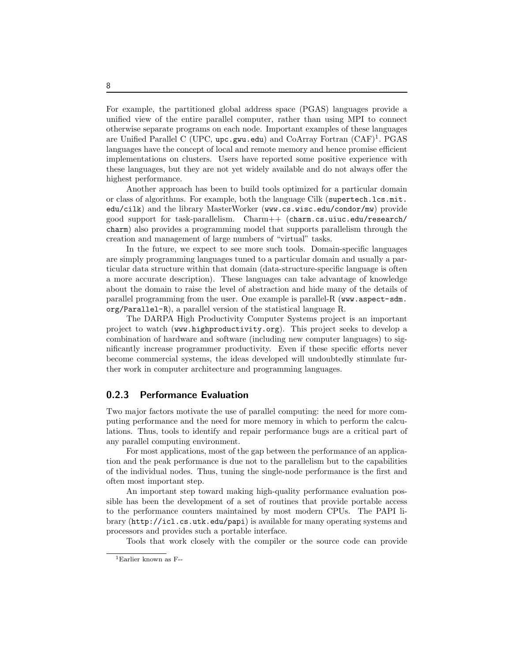For example, the partitioned global address space (PGAS) languages provide a unified view of the entire parallel computer, rather than using MPI to connect otherwise separate programs on each node. Important examples of these languages are Unified Parallel C (UPC,  $\mathbf{upc}.\mathbf{gwa}.\mathbf{edu})$  and CoArray Fortran  $(CAF)^1$ . PGAS languages have the concept of local and remote memory and hence promise efficient implementations on clusters. Users have reported some positive experience with these languages, but they are not yet widely available and do not always offer the highest performance.

Another approach has been to build tools optimized for a particular domain or class of algorithms. For example, both the language Cilk ([supertech.lcs.mit.](http://supertech.lcs.mit.edu/cilk) [edu/cilk](http://supertech.lcs.mit.edu/cilk)) and the library MasterWorker ([www.cs.wisc.edu/condor/mw](http://www.cs.wisc.edu/condor/mw)) provide good support for task-parallelism. Charm++ ([charm.cs.uiuc.edu/research/](http://charm.cs.uiuc.edu/research/charm) [charm](http://charm.cs.uiuc.edu/research/charm)) also provides a programming model that supports parallelism through the creation and management of large numbers of "virtual" tasks.

In the future, we expect to see more such tools. Domain-specific languages are simply programming languages tuned to a particular domain and usually a particular data structure within that domain (data-structure-specific language is often a more accurate description). These languages can take advantage of knowledge about the domain to raise the level of abstraction and hide many of the details of parallel programming from the user. One example is parallel-R ([www.aspect-sdm.](http://www.aspect-sdm.org/Parallel-R) [org/Parallel-R](http://www.aspect-sdm.org/Parallel-R)), a parallel version of the statistical language R.

The DARPA High Productivity Computer Systems project is an important project to watch ([www.highproductivity.org](http://www.highproductivity.org)). This project seeks to develop a combination of hardware and software (including new computer languages) to significantly increase programmer productivity. Even if these specific efforts never become commercial systems, the ideas developed will undoubtedly stimulate further work in computer architecture and programming languages.

#### 0.2.3 Performance Evaluation

Two major factors motivate the use of parallel computing: the need for more computing performance and the need for more memory in which to perform the calculations. Thus, tools to identify and repair performance bugs are a critical part of any parallel computing environment.

For most applications, most of the gap between the performance of an application and the peak performance is due not to the parallelism but to the capabilities of the individual nodes. Thus, tuning the single-node performance is the first and often most important step.

An important step toward making high-quality performance evaluation possible has been the development of a set of routines that provide portable access to the performance counters maintained by most modern CPUs. The PAPI library (<http://icl.cs.utk.edu/papi>) is available for many operating systems and processors and provides such a portable interface.

Tools that work closely with the compiler or the source code can provide

 ${}^{1}$ Earlier known as F--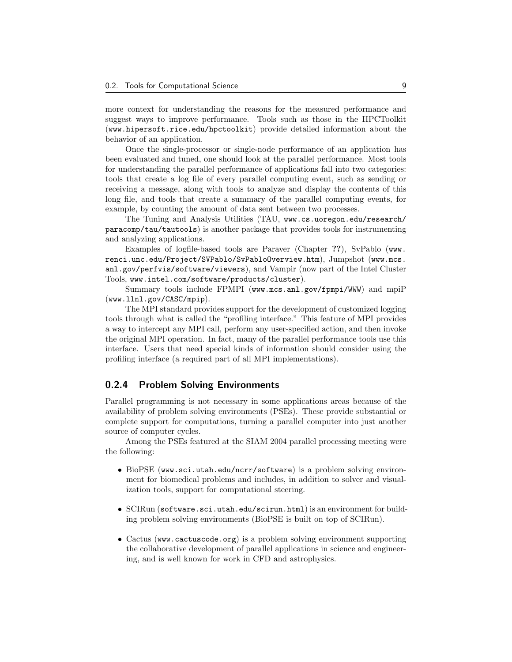more context for understanding the reasons for the measured performance and suggest ways to improve performance. Tools such as those in the HPCToolkit ([www.hipersoft.rice.edu/hpctoolkit](http://www.hipersoft.rice.edu/hpctoolkit)) provide detailed information about the behavior of an application.

Once the single-processor or single-node performance of an application has been evaluated and tuned, one should look at the parallel performance. Most tools for understanding the parallel performance of applications fall into two categories: tools that create a log file of every parallel computing event, such as sending or receiving a message, along with tools to analyze and display the contents of this long file, and tools that create a summary of the parallel computing events, for example, by counting the amount of data sent between two processes.

The Tuning and Analysis Utilities (TAU, [www.cs.uoregon.edu/research/](http://www.cs.uoregon.edu/research/paracomp/tau/tautools) [paracomp/tau/tautools](http://www.cs.uoregon.edu/research/paracomp/tau/tautools)) is another package that provides tools for instrumenting and analyzing applications.

Examples of logfile-based tools are Paraver (Chapter ??), SvPablo ([www.](http://www.renci.unc.edu/Project/SVPablo/SvPabloOverview.htm) [renci.unc.edu/Project/SVPablo/SvPabloOverview.htm](http://www.renci.unc.edu/Project/SVPablo/SvPabloOverview.htm)), Jumpshot ([www.mcs.](http://www.mcs.anl.gov/perfvis/software/viewers) [anl.gov/perfvis/software/viewers](http://www.mcs.anl.gov/perfvis/software/viewers)), and Vampir (now part of the Intel Cluster Tools, [www.intel.com/software/products/cluster](http://www.intel.com/software/products/cluster)).

Summary tools include FPMPI ([www.mcs.anl.gov/fpmpi/WWW](http://www.mcs.anl.gov/fpmpi/WWW)) and mpiP ([www.llnl.gov/CASC/mpip](http://www.llnl.gov/CASC/mpip)).

The MPI standard provides support for the development of customized logging tools through what is called the "profiling interface." This feature of MPI provides a way to intercept any MPI call, perform any user-specified action, and then invoke the original MPI operation. In fact, many of the parallel performance tools use this interface. Users that need special kinds of information should consider using the profiling interface (a required part of all MPI implementations).

#### 0.2.4 Problem Solving Environments

Parallel programming is not necessary in some applications areas because of the availability of problem solving environments (PSEs). These provide substantial or complete support for computations, turning a parallel computer into just another source of computer cycles.

Among the PSEs featured at the SIAM 2004 parallel processing meeting were the following:

- *•* BioPSE ([www.sci.utah.edu/ncrr/software](http://www.sci.utah.edu/ncrr/software)) is a problem solving environment for biomedical problems and includes, in addition to solver and visualization tools, support for computational steering.
- SCIRun ([software.sci.utah.edu/scirun.html](http://software.sci.utah.edu/scirun.html)) is an environment for building problem solving environments (BioPSE is built on top of SCIRun).
- Cactus ([www.cactuscode.org](http://www.cactuscode.org)) is a problem solving environment supporting the collaborative development of parallel applications in science and engineering, and is well known for work in CFD and astrophysics.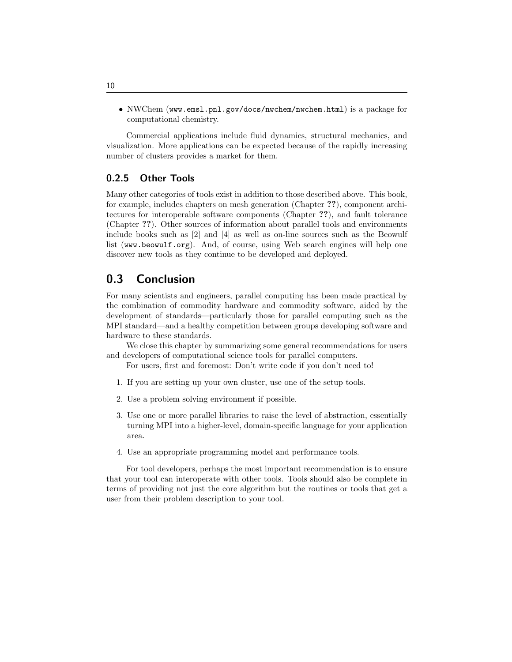*•* NWChem ([www.emsl.pnl.gov/docs/nwchem/nwchem.html](http://www.emsl.pnl.gov/docs/nwchem/nwchem.html)) is a package for computational chemistry.

Commercial applications include fluid dynamics, structural mechanics, and visualization. More applications can be expected because of the rapidly increasing number of clusters provides a market for them.

#### 0.2.5 Other Tools

Many other categories of tools exist in addition to those described above. This book, for example, includes chapters on mesh generation (Chapter ??), component architectures for interoperable software components (Chapter ??), and fault tolerance (Chapter ??). Other sources of information about parallel tools and environments include books such as [2] and [4] as well as on-line sources such as the Beowulf list ([www.beowulf.org](http://www.beowulf.org)). And, of course, using Web search engines will help one discover new tools as they continue to be developed and deployed.

#### 0.3 Conclusion

For many scientists and engineers, parallel computing has been made practical by the combination of commodity hardware and commodity software, aided by the development of standards—particularly those for parallel computing such as the MPI standard—and a healthy competition between groups developing software and hardware to these standards.

We close this chapter by summarizing some general recommendations for users and developers of computational science tools for parallel computers.

For users, first and foremost: Don't write code if you don't need to!

- 1. If you are setting up your own cluster, use one of the setup tools.
- 2. Use a problem solving environment if possible.
- 3. Use one or more parallel libraries to raise the level of abstraction, essentially turning MPI into a higher-level, domain-specific language for your application area.
- 4. Use an appropriate programming model and performance tools.

For tool developers, perhaps the most important recommendation is to ensure that your tool can interoperate with other tools. Tools should also be complete in terms of providing not just the core algorithm but the routines or tools that get a user from their problem description to your tool.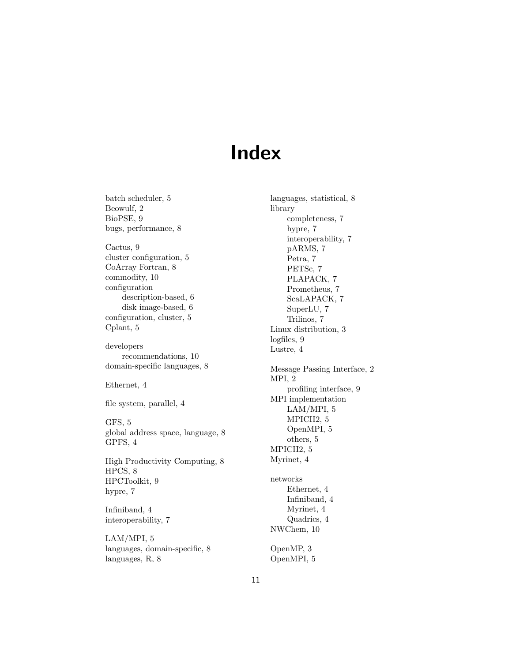# Index

batch scheduler, 5 Beowulf, 2 BioPSE, 9 bugs, performance, 8 Cactus, 9 cluster configuration, 5 CoArray Fortran, 8 commodity, 10 configuration description-based, 6 disk image-based, 6 configuration, cluster, 5 Cplant, 5 developers recommendations, 10 domain-specific languages, 8 Ethernet, 4 file system, parallel, 4 GFS, 5 global address space, language, 8 GPFS, 4 High Productivity Computing, 8 HPCS, 8 HPCToolkit, 9 hypre, 7 Infiniband, 4 interoperability, 7 LAM/MPI, 5 languages, domain-specific, 8 languages, R, 8

languages, statistical, 8 library completeness, 7 hypre, 7 interoperability, 7 pARMS, 7 Petra, 7 PETSc, 7 PLAPACK, 7 Prometheus, 7 ScaLAPACK, 7 SuperLU, 7 Trilinos, 7 Linux distribution, 3 logfiles, 9 Lustre, 4 Message Passing Interface, 2 MPI, 2 profiling interface, 9 MPI implementation LAM/MPI, 5 MPICH2, 5 OpenMPI, 5 others, 5 MPICH2, 5 Myrinet, 4 networks Ethernet, 4 Infiniband, 4 Myrinet, 4 Quadrics, 4 NWChem, 10 OpenMP, 3 OpenMPI, 5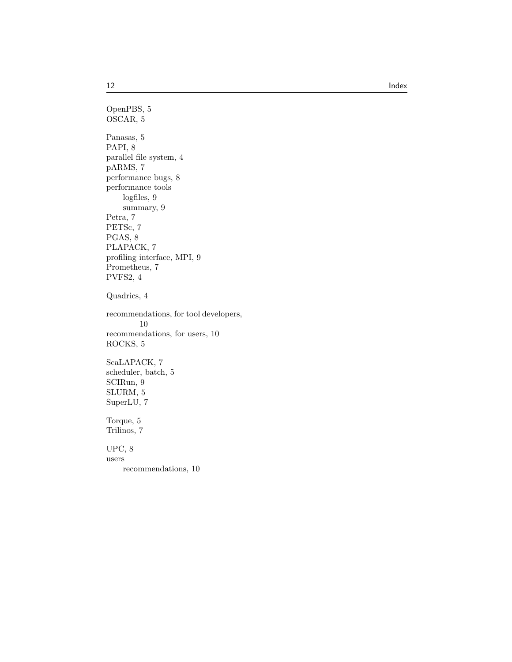OpenPBS, 5 OSCAR, 5 Panasas, 5 PAPI, 8 parallel file system, 4 pARMS, 7 performance bugs, 8 performance tools logfiles, 9 summary, 9 Petra, 7 PETSc, 7 PGAS, 8 PLAPACK, 7 profiling interface, MPI, 9 Prometheus, 7 PVFS2, 4 Quadrics, 4 recommendations, for tool developers, 10 recommendations, for users, 10 ROCKS, 5 ScaLAPACK, 7 scheduler, batch, 5 SCIRun, 9 SLURM, 5 SuperLU, 7 Torque, 5 Trilinos, 7 UPC, 8 users

recommendations, 10